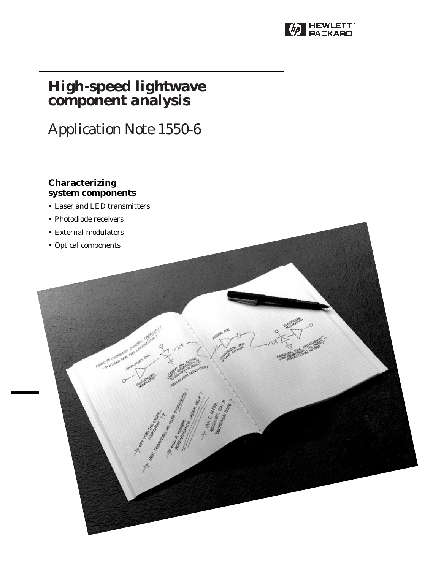

# **High-speed lightwave component analysis**

# Application Note 1550-6

# **Characterizing system components**

- Laser and LED transmitters
- Photodiode receivers
- External modulators
- Optical components

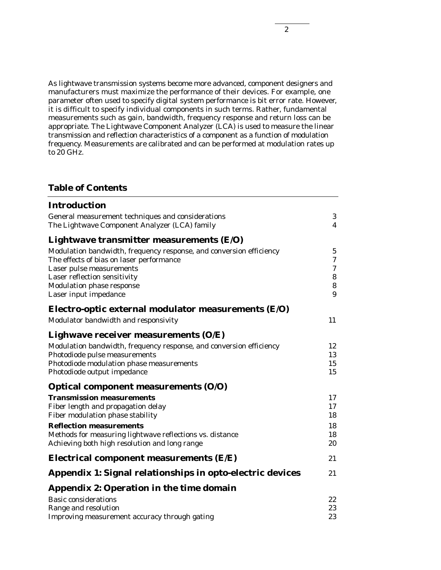As lightwave transmission systems become more advanced, component designers and manufacturers must maximize the performance of their devices. For example, one parameter often used to specify digital system performance is bit error rate. However, it is difficult to specify individual components in such terms. Rather, fundamental measurements such as gain, bandwidth, frequency response and return loss can be appropriate. The Lightwave Component Analyzer (LCA) is used to measure the linear transmission and reflection characteristics of a component as a function of modulation frequency. Measurements are calibrated and can be performed at modulation rates up to 20 GHz.

# **Table of Contents**

| <b>Introduction</b>                                                 |                |
|---------------------------------------------------------------------|----------------|
| General measurement techniques and considerations                   | 3              |
| The Lightwave Component Analyzer (LCA) family                       | $\overline{4}$ |
| Lightwave transmitter measurements $(E/O)$                          |                |
| Modulation bandwidth, frequency response, and conversion efficiency | $\overline{5}$ |
| The effects of bias on laser performance                            | 7              |
| Laser pulse measurements                                            | 7              |
| Laser reflection sensitivity                                        | 8              |
| <b>Modulation phase response</b>                                    | 8              |
| Laser input impedance                                               | 9              |
| Electro-optic external modulator measurements $(E/O)$               |                |
| Modulator bandwidth and responsivity                                | 11             |
| Lighwave receiver measurements $(O/E)$                              |                |
| Modulation bandwidth, frequency response, and conversion efficiency | 12             |
| Photodiode pulse measurements                                       | 13             |
| Photodiode modulation phase measurements                            | 15             |
| Photodiode output impedance                                         | 15             |
| Optical component measurements (O/O)                                |                |
| <b>Transmission measurements</b>                                    | 17             |
| Fiber length and propagation delay                                  | 17             |
| Fiber modulation phase stability                                    | 18             |
| <b>Reflection measurements</b>                                      | 18             |
| Methods for measuring lightwave reflections vs. distance            | 18             |
| Achieving both high resolution and long range                       | 20             |
| Electrical component measurements $(E/E)$                           | 21             |
| Appendix 1: Signal relationships in opto-electric devices           | 21             |
| Appendix 2: Operation in the time domain                            |                |
| <b>Basic considerations</b>                                         | 22             |
| Range and resolution                                                | 23             |
| Improving measurement accuracy through gating                       | 23             |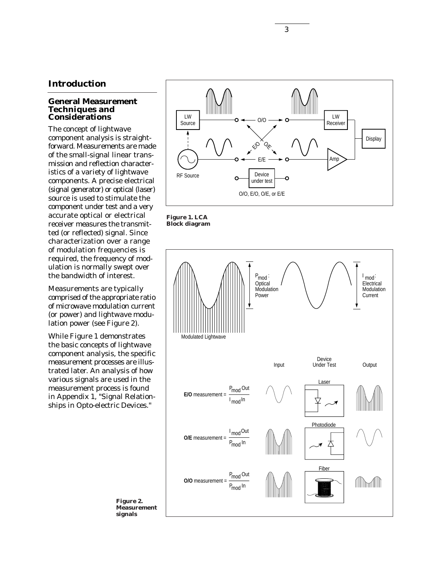# **Introduction**

#### **General Measurement Techniques and Considerations**

The concept of lightwave component analysis is straightforward. Measurements are made of the small-signal linear transmission and reflection characteristics of a variety of lightwave components. A precise electrical (signal generator) or optical (laser) source is used to stimulate the component under test and a very accurate optical or electrical receiver measures the transmitted (or reflected) signal. Since characterization over a range of modulation frequencies is required, the frequency of modulation is normally swept over the bandwidth of interest.

Measurements are typically comprised of the appropriate ratio of microwave modulation current (or power) and lightwave modulation power (see Figure 2).

While Figure 1 demonstrates the basic concepts of lightwave component analysis, the specific measurement processes are illustrated later. An analysis of how various signals are used in the measurement process is found in Appendix 1, "Signal Relationships in Opto-electric Devices."







**Figure 2. Measurement signals**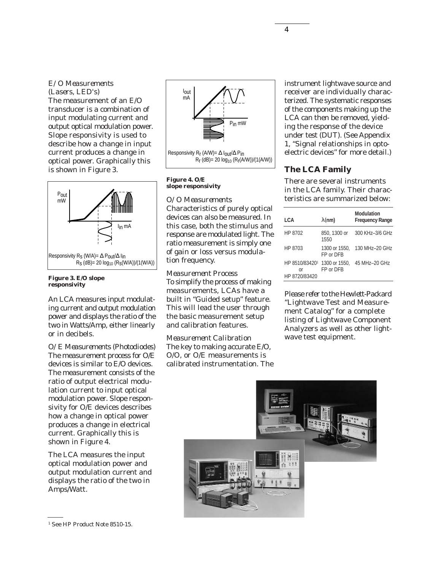# *E/O Measurements (Lasers, LED's)*

The measurement of an E/O transducer is a combination of input modulating current and output optical modulation power. Slope responsivity is used to describe how a change in input current produces a change in optical power. Graphically this is shown in Figure 3.



#### **Figure 3. E/O slope responsivity**

An LCA measures input modulating current and output modulation power and displays the ratio of the two in Watts/Amp, either linearly or in decibels.

*O/E Measurements (Photodiodes)* The measurement process for O/E devices is similar to E/O devices. The measurement consists of the ratio of output electrical modulation current to input optical modulation power. Slope responsivity for O/E devices describes how a change in optical power produces a change in electrical current. Graphically this is shown in Figure 4.

The LCA measures the input optical modulation power and output modulation current and displays the ratio of the two in Amps/Watt.

#### **Figure 4. O/E slope responsivity**

*O/O Measurements*

Characteristics of purely optical devices can also be measured. In this case, both the stimulus and response are modulated light. The ratio measurement is simply one of gain or loss versus modulation frequency.

*Measurement Process* To simplify the process of making measurements, LCAs have a built in "Guided setup" feature. This will lead the user through the basic measurement setup and calibration features.

*Measurement Calibration* The key to making accurate E/O, O/O, or O/E measurements is calibrated instrumentation. The

instrument lightwave source and receiver are individually characterized. The systematic responses of the components making up the LCA can then be removed, yielding the response of the device under test (DUT). (See Appendix 1, "Signal relationships in optoelectric devices" for more detail.)

# **The LCA Family**

There are several instruments in the LCA family. Their characteristics are summarized below:

| LCA                                   | $\lambda$ (nm)             | <b>Modulation</b><br><b>Frequency Range</b> |
|---------------------------------------|----------------------------|---------------------------------------------|
| HP 8702                               | 850, 1300 or<br>1550       | 300 KHz-3/6 GHz                             |
| HP 8703                               | 1300 or 1550.<br>FP or DFB | 130 MHz-20 GHz                              |
| HP 8510/834201<br>Ωr<br>HP 8720/83420 | 1300 or 1550.<br>FP or DFB | 45 MHz-20 GHz                               |

Please refer to the Hewlett-Packard "Lightwave Test and Measurement Catalog" for a complete listing of Lightwave Component Analyzers as well as other lightwave test equipment.



Responsivity R<sub>r</sub> (A/W)=  $\Delta$  I<sub>OUt</sub>/ $\Delta$  Pin  $R_r$  (dB)= 20  $log_{10}$  ( $R_r$ (A/W))/(1(A/W)) Iout mA Pin mW

<sup>&</sup>lt;sup>1</sup> See HP Product Note 8510-15.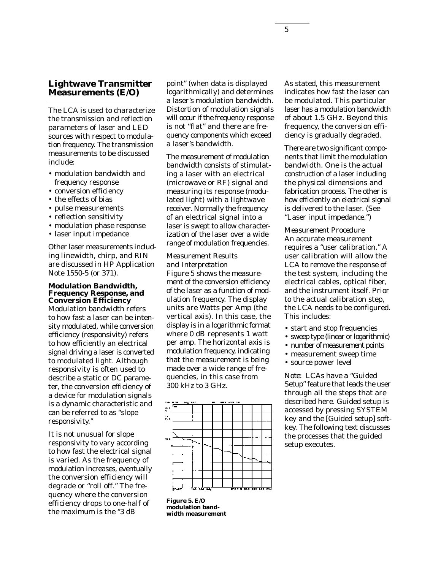# **Lightwave Transmitter Measurements (E/O)**

The LCA is used to characterize the transmission and reflection parameters of laser and LED sources with respect to modulation frequency. The transmission measurements to be discussed include:

- modulation bandwidth and frequency response
- conversion efficiency
- the effects of bias
- pulse measurements
- reflection sensitivity
- modulation phase response
- laser input impedance

Other laser measurements including linewidth, chirp, and RIN are discussed in HP Application Note 1550-5 (or 371).

#### **Modulation Bandwidth, Frequency Response, and Conversion Efficiency**

Modulation bandwidth refers to how fast a laser can be intensity modulated, while conversion efficiency (responsivity) refers to how efficiently an electrical signal driving a laser is converted to modulated light. Although responsivity is often used to describe a static or DC parameter, the conversion efficiency of a device for modulation signals is a dynamic characteristic and can be referred to as "slope responsivity."

It is not unusual for slope responsivity to vary according to how fast the electrical signal is varied. As the frequency of modulation increases, eventually the conversion efficiency will degrade or "roll off." The frequency where the conversion efficiency drops to one-half of the maximum is the "3 dB

point" (when data is displayed logarithmically) and determines a laser's modulation bandwidth. Distortion of modulation signals will occur if the frequency response is not "flat" and there are frequency components which exceed a laser's bandwidth.

The measurement of modulation bandwidth consists of stimulating a laser with an electrical (microwave or RF) signal and measuring its response (modulated light) with a lightwave receiver. Normally the frequency of an electrical signal into a laser is swept to allow characterization of the laser over a wide range of modulation frequencies.

## *Measurement Results and Interpretation*

Figure 5 shows the measurement of the conversion efficiency of the laser as a function of modulation frequency. The display units are Watts per Amp (the vertical axis). In this case, the display is in a logarithmic format where 0 dB represents 1 watt per amp. The horizontal axis is modulation frequency, indicating that the measurement is being made over a wide range of frequencies, in this case from 300 kHz to 3 GHz.



**Figure 5. E/O modulation bandwidth measurement**

As stated, this measurement indicates how fast the laser can be modulated. This particular laser has a modulation bandwidth of about 1.5 GHz. Beyond this frequency, the conversion efficiency is gradually degraded.

There are two significant components that limit the modulation bandwidth. One is the actual construction of a laser including the physical dimensions and fabrication process. The other is how efficiently an electrical signal is delivered to the laser. (See "Laser input impedance.")

*Measurement Procedure* An accurate measurement requires a "user calibration." A user calibration will allow the LCA to remove the response of the test system, including the electrical cables, optical fiber, and the instrument itself. Prior to the actual calibration step, the LCA needs to be configured. This includes:

- start and stop frequencies
- sweep type (linear or logarithmic)
- number of measurement points
- measurement sweep time
- source power level

*Note:* LCAs have a "Guided Setup" feature that leads the user through all the steps that are described here. Guided setup is accessed by pressing SYSTEM key and the [Guided setup] softkey. The following text discusses the processes that the guided setup executes.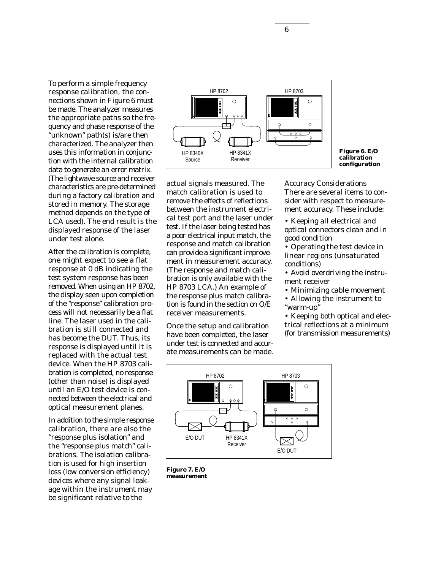To perform a simple frequency response calibration, the connections shown in Figure 6 must be made. The analyzer measures the appropriate paths so the frequency and phase response of the "unknown" path(s) is/are then characterized. The analyzer then uses this information in conjunction with the internal calibration data to generate an error matrix. (The lightwave source and receiver characteristics are pre-determined during a factory calibration and stored in memory. The storage method depends on the type of LCA used). The end result is the displayed response of the laser under test alone.

After the calibration is complete, one might expect to see a flat response at 0 dB indicating the test system response has been removed. When using an HP 8702, the display seen upon completion of the "response" calibration process will not necessarily be a flat line. The laser used in the calibration is still connected and has become the DUT. Thus, its response is displayed until it is replaced with the actual test device. When the HP 8703 calibration is completed, no response (other than noise) is displayed until an E/O test device is connected between the electrical and optical measurement planes.

In addition to the simple response calibration, there are also the "response plus isolation" and the "response plus match" calibrations. The isolation calibration is used for high insertion loss (low conversion efficiency) devices where any signal leakage within the instrument may be significant relative to the



**Figure 6. E/O calibration configuration**

actual signals measured. The match calibration is used to remove the effects of reflections between the instrument electrical test port and the laser under test. If the laser being tested has a poor electrical input match, the response and match calibration can provide a significant improvement in measurement accuracy. (The response and match calibration is only available with the HP 8703 LCA.) An example of the response plus match calibration is found in the section on O/E receiver measurements.

Once the setup and calibration have been completed, the laser under test is connected and accurate measurements can be made.

*Accuracy Considerations* There are several items to consider with respect to measurement accuracy. These include:

• Keeping all electrical and optical connectors clean and in good condition

• Operating the test device in linear regions (unsaturated conditions)

- Avoid overdriving the instrument receiver
- Minimizing cable movement

• Allowing the instrument to "warm-up"

• Keeping both optical and electrical reflections at a minimum (for transmission measurements)



**Figure 7. E/O measurement**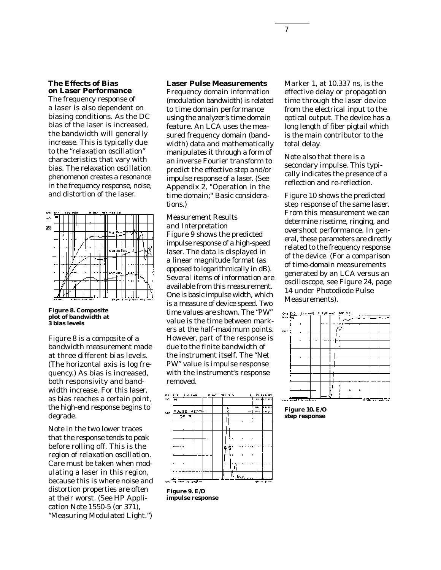#### **The Effects of Bias on Laser Performance**

The frequency response of a laser is also dependent on biasing conditions. As the DC bias of the laser is increased, the bandwidth will generally increase. This is typically due to the "relaxation oscillation" characteristics that vary with bias. The relaxation oscillation phenomenon creates a resonance in the frequency response, noise, and distortion of the laser.



**Figure 8. Composite plot of bandwidth at 3 bias levels**

Figure 8 is a composite of a bandwidth measurement made at three different bias levels. (The horizontal axis is log frequency.) As bias is increased, both responsivity and bandwidth increase. For this laser, as bias reaches a certain point, the high-end response begins to degrade.

Note in the two lower traces that the response tends to peak before rolling off. This is the region of relaxation oscillation. Care must be taken when modulating a laser in this region, because this is where noise and distortion properties are often at their worst. (See HP Application Note 1550-5 (or 371), *"*Measuring Modulated Light.")

#### **Laser Pulse Measurements**

Frequency domain information (modulation bandwidth) is related to time domain performance using the analyzer's time domain feature. An LCA uses the measured frequency domain (bandwidth) data and mathematically manipulates it through a form of an inverse Fourier transform to predict the effective step and/or impulse response of a laser. (See Appendix 2, "Operation in the time domain;" *Basic considerations.*)

# *Measurement Results and Interpretation*

Figure 9 shows the predicted impulse response of a high-speed laser. The data is displayed in a linear magnitude format (as opposed to logarithmically in dB). Several items of information are available from this measurement. One is basic impulse width, which is a measure of device speed. Two time values are shown. The "PW" value is the time between markers at the half-maximum points. However, part of the response is due to the finite bandwidth of the instrument itself. The "Net PW" value is impulse response with the instrument's response removed.



**Figure 9. E/O impulse response**

Marker 1, at 10.337 ns, is the effective delay or propagation time through the laser device from the electrical input to the optical output. The device has a long length of fiber pigtail which is the main contributor to the total delay.

Note also that there is a secondary impulse. This typically indicates the presence of a reflection and re-reflection.

Figure 10 shows the predicted step response of the same laser. From this measurement we can determine risetime, ringing, and overshoot performance. In general, these parameters are directly related to the frequency response of the device. (For a comparison of time-domain measurements generated by an LCA versus an oscilloscope, see Figure 24, page 14 under Photodiode Pulse Measurements).



**Figure 10. E/O step response**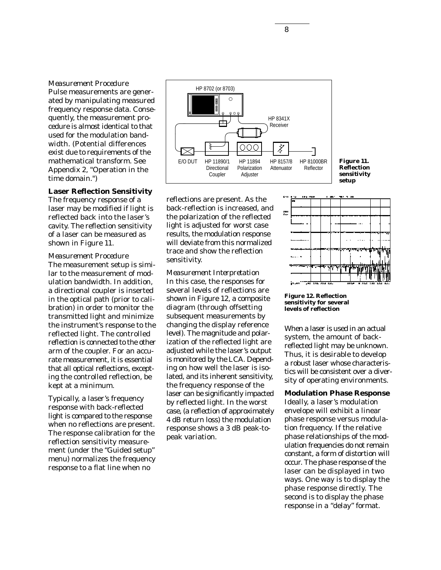## *Measurement Procedure*

Pulse measurements are generated by manipulating measured frequency response data. Consequently, the measurement procedure is almost identical to that used for the modulation bandwidth. (Potential differences exist due to requirements of the mathematical transform. See Appendix 2, "Operation in the time domain.")

#### **Laser Reflection Sensitivity**

The frequency response of a laser may be modified if light is reflected back into the laser's cavity. The reflection sensitivity of a laser can be measured as shown in Figure 11.

#### *Measurement Procedure*

The measurement setup is similar to the measurement of modulation bandwidth. In addition, a directional coupler is inserted in the optical path (prior to calibration) in order to monitor the transmitted light and minimize the instrument's response to the reflected light. The controlled reflection is connected to the other arm of the coupler. For an accurate measurement, it is essential that all optical reflections, excepting the controlled reflection, be kept at a minimum.

Typically, a laser's frequency response with back-reflected light is compared to the response when no reflections are present. The response calibration for the reflection sensitivity measurement (under the "Guided setup" menu) normalizes the frequency response to a flat line when no



**Figure 11. Reflection sensitivity setup** 

reflections are present. As the back-reflection is increased, and the polarization of the reflected light is adjusted for worst case results, the modulation response will deviate from this normalized trace and show the reflection sensitivity.

*Measurement Interpretation* In this case, the responses for several levels of reflections are shown in Figure 12, a composite diagram (through offsetting subsequent measurements by changing the display reference level). The magnitude and polarization of the reflected light are adjusted while the laser's output is monitored by the LCA. Depending on how well the laser is isolated, and its inherent sensitivity, the frequency response of the laser can be significantly impacted by reflected light. In the worst case, (a reflection of approximately 4 dB return loss) the modulation response shows a 3 dB peak-topeak variation.



**Figure 12. Reflection sensitivity for several levels of reflection**

When a laser is used in an actual system, the amount of backreflected light may be unknown. Thus, it is desirable to develop a robust laser whose characteristics will be consistent over a diversity of operating environments.

# **Modulation Phase Response**

Ideally, a laser's modulation envelope will exhibit a linear phase response versus modulation frequency. If the relative phase relationships of the modulation frequencies do not remain constant, a form of distortion will occur. The phase response of the laser can be displayed in two ways. One way is to display the phase response directly. The second is to display the phase response in a "delay" format.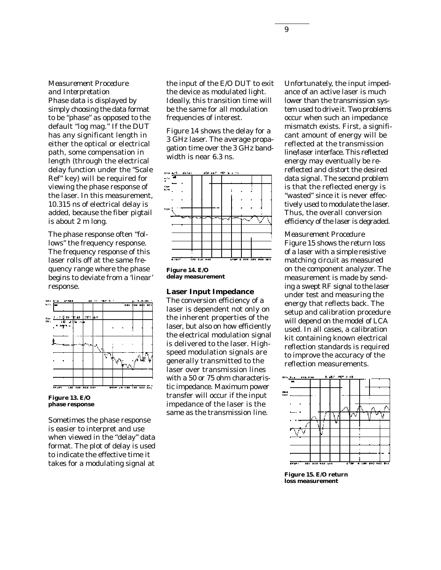## *Measurement Procedure and Interpretation*

Phase data is displayed by simply choosing the data format to be "phase" as opposed to the default "log mag." If the DUT has any significant length in either the optical or electrical path, some compensation in length (through the electrical delay function under the "Scale Ref" key) will be required for viewing the phase response of the laser. In this measurement, 10.315 ns of electrical delay is added, because the fiber pigtail is about 2 m long.

The phase response often "follows" the frequency response. The frequency response of this laser rolls off at the same frequency range where the phase begins to deviate from a 'linear' response.



**Figure 13. E/O phase response**

Sometimes the phase response is easier to interpret and use when viewed in the "delay" data format. The plot of delay is used to indicate the effective time it takes for a modulating signal at

the input of the E/O DUT to exit the device as modulated light. Ideally, this transition time will be the same for all modulation frequencies of interest.

Figure 14 shows the delay for a 3 GHz laser. The average propagation time over the 3 GHz bandwidth is near 6.3 ns.



**Figure 14. E/O delay measurement**

#### **Laser Input Impedance**

The conversion efficiency of a laser is dependent not only on the inherent properties of the laser, but also on how efficiently the electrical modulation signal is delivered to the laser. Highspeed modulation signals are generally transmitted to the laser over transmission lines with a 50 or 75 ohm characteristic impedance. Maximum power transfer will occur if the input impedance of the laser is the same as the transmission line.

Unfortunately, the input impedance of an active laser is much lower than the transmission system used to drive it. Two problems occur when such an impedance mismatch exists. First, a significant amount of energy will be reflected at the transmission line/laser interface. This reflected energy may eventually be rereflected and distort the desired data signal. The second problem is that the reflected energy is "wasted" since it is never effectively used to modulate the laser. Thus, the overall conversion efficiency of the laser is degraded.

#### *Measurement Procedure*

Figure 15 shows the return loss of a laser with a simple resistive matching circuit as measured on the component analyzer. The measurement is made by sending a swept RF signal to the laser under test and measuring the energy that reflects back. The setup and calibration procedure will depend on the model of LCA used. In all cases, a calibration kit containing known electrical reflection standards is required to improve the accuracy of the reflection measurements.



**Figure 15. E/O return loss measurement**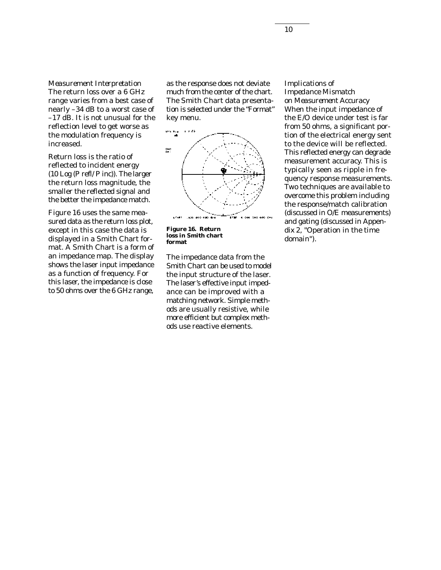*Measurement Interpretation* The return loss over a 6 GHz range varies from a best case of nearly –34 dB to a worst case of –17 dB. It is not unusual for the reflection level to get worse as the modulation frequency is increased.

Return loss is the ratio of reflected to incident energy (10 Log (P refl/ P inc)). The larger the return loss magnitude, the smaller the reflected signal and the better the impedance match.

Figure 16 uses the same measured data as the return loss plot, except in this case the data is displayed in a Smith Chart format. A Smith Chart is a form of an impedance map. The display shows the laser input impedance as a function of frequency. For this laser, the impedance is close to 50 ohms over the 6 GHz range,

as the response does not deviate much from the center of the chart. The Smith Chart data presentation is selected under the "Format" key menu.



**Figure 16. Return loss in Smith chart format**

The impedance data from the Smith Chart can be used to model the input structure of the laser. The laser's effective input impedance can be improved with a matching network. Simple methods are usually resistive, while more efficient but complex methods use reactive elements.

#### *Implications of Impedance Mismatch*

*on Measurement Accuracy*  When the input impedance of the E/O device under test is far from 50 ohms, a significant portion of the electrical energy sent to the device will be reflected. This reflected energy can degrade measurement accuracy. This is typically seen as ripple in frequency response measurements. Two techniques are available to overcome this problem including the response/match calibration (discussed in O/E measurements) and gating (discussed in Appendix 2, "Operation in the time domain").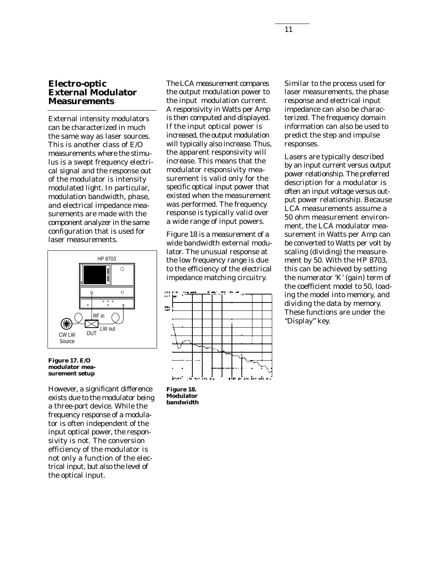## **Electro-optic External Modulator Measurements**

External intensity modulators can be characterized in much the same way as laser sources. This is another class of E/O measurements where the stimulus is a swept frequency electrical signal and the response out of the modulator is intensity modulated light. In particular, modulation bandwidth, phase, and electrical impedance measurements are made with the component analyzer in the same configuration that is used for laser measurements.



**Figure 17. E/O modulator measurement setup**

However, a significant difference exists due to the modulator being a three-port device. While the frequency response of a modulator is often independent of the input optical power, the responsivity is not. The conversion efficiency of the modulator is not only a function of the electrical input, but also the level of the optical input.

The LCA measurement compares the output modulation power to the input modulation current. A responsivity in Watts per Amp is then computed and displayed. If the input optical power is increased, the output modulation will typically also increase. Thus, the apparent responsivity will increase. This means that the modulator responsivity measurement is valid only for the specific optical input power that existed when the measurement was performed. The frequency response is typically valid over a wide range of input powers.

Figure 18 is a measurement of a wide bandwidth external modulator. The unusual response at the low frequency range is due to the efficiency of the electrical impedance matching circuitry.



**Figure 18. Modulator bandwidth**

Similar to the process used for laser measurements, the phase response and electrical input impedance can also be characterized. The frequency domain information can also be used to predict the step and impulse responses.

Lasers are typically described by an input current versus output power relationship. The preferred description for a modulator is often an input voltage versus output power relationship. Because LCA measurements assume a 50 ohm measurement environment, the LCA modulator measurement in Watts per Amp can be converted to Watts per volt by scaling (dividing) the measurement by 50. With the HP 8703, this can be achieved by setting the numerator 'K' (gain) term of the coefficient model to 50, loading the model into memory, and dividing the data by memory. These functions are under the "Display" key.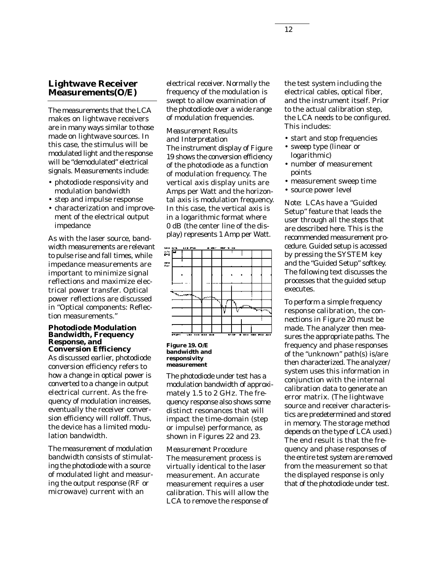# **Lightwave Receiver Measurements(O/E)**

The measurements that the LCA makes on lightwave receivers are in many ways similar to those made on lightwave sources. In this case, the stimulus will be modulated light and the response will be "demodulated" electrical signals. Measurements include:

- photodiode responsivity and modulation bandwidth
- step and impulse response
- characterization and improvement of the electrical output impedance

As with the laser source, bandwidth measurements are relevant to pulse rise and fall times, while impedance measurements are important to minimize signal reflections and maximize electrical power transfer. Optical power reflections are discussed in "Optical components: Reflection measurements."

#### **Photodiode Modulation Bandwidth, Frequency Response, and Conversion Efficiency**

As discussed earlier, photodiode conversion efficiency refers to how a change in optical power is converted to a change in output electrical current. As the frequency of modulation increases, eventually the receiver conversion efficiency will rolloff. Thus, the device has a limited modulation bandwidth.

The measurement of modulation bandwidth consists of stimulating the photodiode with a source of modulated light and measuring the output response (RF or microwave) current with an

electrical receiver. Normally the frequency of the modulation is swept to allow examination of the photodiode over a wide range of modulation frequencies.

#### *Measurement Results and Interpretation*

The instrument display of Figure 19 shows the conversion efficiency of the photodiode as a function of modulation frequency. The vertical axis display units are Amps per Watt and the horizontal axis is modulation frequency. In this case, the vertical axis is in a logarithmic format where 0 dB (the center line of the display) represents 1 Amp per Watt.



**Figure 19. O/E bandwidth and responsivity measurement**

The photodiode under test has a modulation bandwidth of approximately 1.5 to 2 GHz. The frequency response also shows some distinct resonances that will impact the time-domain (step or impulse) performance, as shown in Figures 22 and 23.

*Measurement Procedure* The measurement process is virtually identical to the laser measurement. An accurate measurement requires a user calibration. This will allow the LCA to remove the response of

the test system including the electrical cables, optical fiber, and the instrument itself. Prior to the actual calibration step, the LCA needs to be configured. This includes:

- start and stop frequencies
- sweep type (linear or logarithmic)
- number of measurement points
- measurement sweep time
- source power level

*Note:* LCAs have a "Guided Setup" feature that leads the user through all the steps that are described here. This is the recommended measurement procedure. Guided setup is accessed by pressing the SYSTEM key and the "Guided Setup" softkey. The following text discusses the processes that the guided setup executes.

To perform a simple frequency response calibration, the connections in Figure 20 must be made. The analyzer then measures the appropriate paths. The frequency and phase responses of the "unknown" path(s) is/are then characterized. The analyzer/ system uses this information in conjunction with the internal calibration data to generate an error matrix. (The lightwave source and receiver characteristics are predetermined and stored in memory. The storage method depends on the type of LCA used.) The end result is that the frequency and phase responses of the entire test system are removed from the measurement so that the displayed response is only that of the photodiode under test.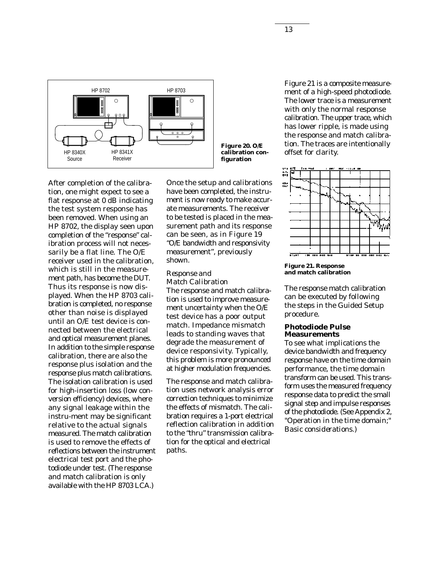

After completion of the calibration, one might expect to see a flat response at 0 dB indicating the test system response has been removed. When using an HP 8702, the display seen upon completion of the "response" calibration process will not necessarily be a flat line. The O/E receiver used in the calibration, which is still in the measurement path, has become the DUT. Thus its response is now displayed. When the HP 8703 calibration is completed, no response other than noise is displayed until an O/E test device is connected between the electrical and optical measurement planes. In addition to the simple response calibration, there are also the response plus isolation and the response plus match calibrations. The isolation calibration is used for high-insertion loss (low conversion efficiency) devices, where any signal leakage within the instru-ment may be significant relative to the actual signals measured. The match calibration is used to remove the effects of reflections between the instrument electrical test port and the photodiode under test. (The response and match calibration is only available with the HP 8703 LCA.)

Once the setup and calibrations have been completed, the instrument is now ready to make accurate measurements. The receiver to be tested is placed in the measurement path and its response can be seen, as in Figure 19 "O/E bandwidth and responsivity measurement", previously shown.

#### *Response and Match Calibration*

The response and match calibration is used to improve measurement uncertainty when the O/E test device has a poor output match. Impedance mismatch leads to standing waves that degrade the measurement of device responsivity. Typically, this problem is more pronounced at higher modulation frequencies.

The response and match calibration uses network analysis error correction techniques to minimize the effects of mismatch. The calibration requires a 1-port electrical reflection calibration in addition to the "thru" transmission calibration for the optical and electrical paths.

Figure 21 is a composite measurement of a high-speed photodiode. The lower trace is a measurement with only the normal response calibration. The upper trace, which has lower ripple, is made using the response and match calibration. The traces are intentionally offset for clarity.



**Figure 21. Response and match calibration**

The response match calibration can be executed by following the steps in the Guided Setup procedure.

#### **Photodiode Pulse Measurements**

To see what implications the device bandwidth and frequency response have on the time domain performance, the time domain transform can be used. This transform uses the measured frequency response data to predict the small signal step and impulse responses of the photodiode. (See Appendix 2, "Operation in the time domain;" *Basic considerations.*)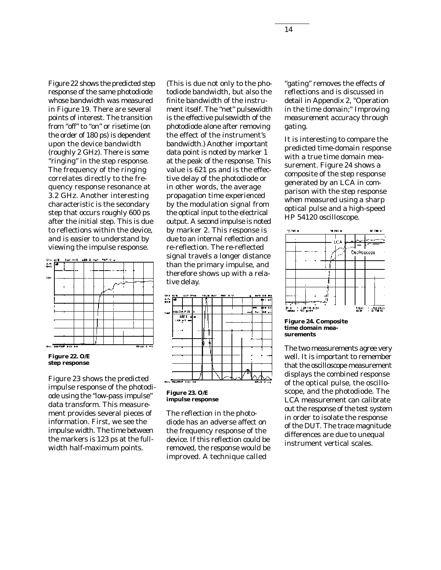Figure 22 shows the predicted step response of the same photodiode whose bandwidth was measured in Figure 19. There are several points of interest. The transition from "off" to "on" or risetime (on the order of 180 ps) is dependent upon the device bandwidth (roughly 2 GHz). There is some "ringing" in the step response. The frequency of the ringing correlates directly to the frequency response resonance at 3.2 GHz. Another interesting characteristic is the secondary step that occurs roughly 600 ps after the initial step. This is due to reflections within the device, and is easier to understand by viewing the impulse response.





Figure 23 shows the predicted impulse response of the photodiode using the "low-pass impulse" data transform. This measurement provides several pieces of information. First, we see the impulse width. The time between the markers is 123 ps at the fullwidth half-maximum points.

(This is due not only to the photodiode bandwidth, but also the finite bandwidth of the instrument itself. The "net" pulsewidth is the effective pulsewidth of the photodiode alone after removing the effect of the instrument's bandwidth.) Another important data point is noted by marker 1 at the peak of the response. This value is 621 ps and is the effective delay of the photodiode or in other words, the average propagation time experienced by the modulation signal from the optical input to the electrical output. A second impulse is noted by marker 2. This response is due to an internal reflection and re-reflection. The re-reflected signal travels a longer distance than the primary impulse, and therefore shows up with a relative delay.



**Figure 23. O/E impulse response**

The reflection in the photodiode has an adverse affect on the frequency response of the device. If this reflection could be removed, the response would be improved. A technique called

"gating" removes the effects of reflections and is discussed in detail in Appendix 2, "Operation in the time domain;" *Improving measurement accuracy through gating*.

It is interesting to compare the predicted time-domain response with a true time domain measurement. Figure 24 shows a composite of the step response generated by an LCA in comparison with the step response when measured using a sharp optical pulse and a high-speed HP 54120 oscilloscope.



**Figure 24. Composite time domain measurements**

The two measurements agree very well. It is important to remember that the oscilloscope measurement displays the combined response of the optical pulse, the oscilloscope, and the photodiode. The LCA measurement can calibrate out the response of the test system in order to isolate the response of the DUT. The trace magnitude differences are due to unequal instrument vertical scales.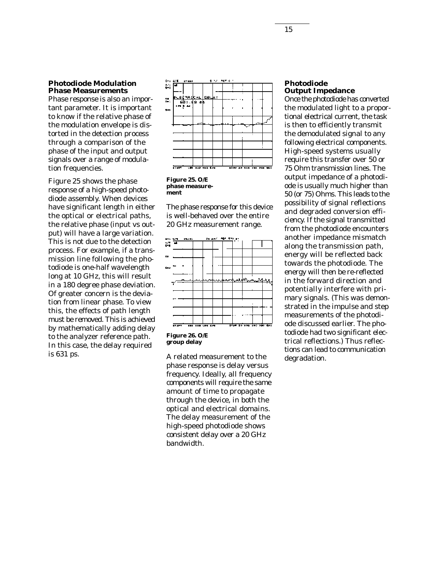#### **Photodiode Modulation Phase Measurements**

Phase response is also an important parameter. It is important to know if the relative phase of the modulation envelope is distorted in the detection process through a comparison of the phase of the input and output signals over a range of modulation frequencies.

Figure 25 shows the phase response of a high-speed photodiode assembly. When devices have significant length in either the optical or electrical paths, the relative phase (input vs output) will have a large variation. This is not due to the detection process. For example, if a transmission line following the photodiode is one-half wavelength long at 10 GHz, this will result in a 180 degree phase deviation. Of greater concern is the deviation from linear phase. To view this, the effects of path length must be removed. This is achieved by mathematically adding delay to the analyzer reference path. In this case, the delay required is 631 ps.



**Figure 25. O/E phase measurement**

The phase response for this device is well-behaved over the entire 20 GHz measurement range.



**group delay**

A related measurement to the phase response is delay versus frequency. Ideally, all frequency components will require the same amount of time to propagate through the device, in both the optical and electrical domains. The delay measurement of the high-speed photodiode shows consistent delay over a 20 GHz bandwidth.

#### **Photodiode Output Impedance**

Once the photodiode has converted the modulated light to a proportional electrical current, the task is then to efficiently transmit the demodulated signal to any following electrical components. High-speed systems usually require this transfer over 50 or 75 Ohm transmission lines. The output impedance of a photodiode is usually much higher than 50 (or 75) Ohms. This leads to the possibility of signal reflections and degraded conversion efficiency. If the signal transmitted from the photodiode encounters another impedance mismatch along the transmission path, energy will be reflected back towards the photodiode. The energy will then be re-reflected in the forward direction and potentially interfere with primary signals. (This was demonstrated in the impulse and step measurements of the photodiode discussed earlier. The photodiode had two significant electrical reflections.) Thus reflections can lead to communication degradation.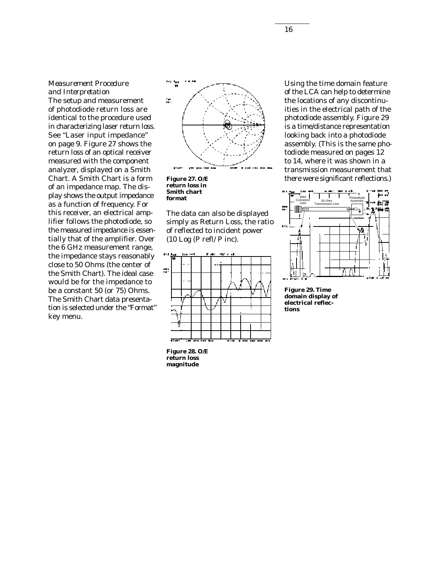# *Measurement Procedure and Interpretation*

The setup and measurement of photodiode return loss are identical to the procedure used in characterizing laser return loss. See "Laser input impedance" on page 9. Figure 27 shows the return loss of an optical receiver measured with the component analyzer, displayed on a Smith Chart. A Smith Chart is a form of an impedance map. The display shows the output impedance as a function of frequency. For this receiver, an electrical amplifier follows the photodiode, so the measured impedance is essentially that of the amplifier. Over the 6 GHz measurement range, the impedance stays reasonably close to 50 Ohms (the center of the Smith Chart). The ideal case would be for the impedance to be a constant 50 (or 75) Ohms. The Smith Chart data presentation is selected under the "Format" key menu.



**return loss in Smith chart format**

The data can also be displayed simply as Return Loss, the ratio of reflected to incident power (10 Log (P refl/ P inc).



Using the time domain feature of the LCA can help to determine the locations of any discontinuities in the electrical path of the photodiode assembly. Figure 29 is a time/distance representation looking back into a photodiode assembly. (This is the same photodiode measured on pages 12 to 14, where it was shown in a transmission measurement that there were significant reflections.)



**Figure 29. Time domain display of electrical reflections**

**Figure 28. O/E return loss magnitude**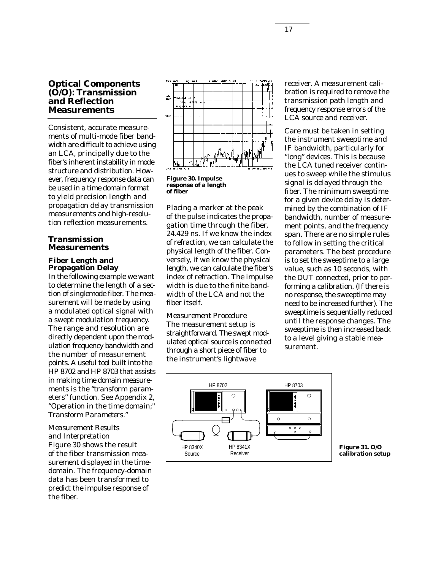# **Optical Components (O/O): Transmission and Reflection Measurements**

Consistent, accurate measurements of multi-mode fiber bandwidth are difficult to achieve using an LCA, principally due to the fiber's inherent instability in mode structure and distribution. However, frequency response data can be used in a time domain format to yield precision length and propagation delay transmission measurements and high-resolution reflection measurements.

## **Transmission Measurements**

## **Fiber Length and Propagation Delay**

In the following example we want to determine the length of a section of singlemode fiber. The measurement will be made by using a modulated optical signal with a swept modulation frequency. The range and resolution are directly dependent upon the modulation frequency bandwidth and the number of measurement points. A useful tool built into the HP 8702 and HP 8703 that assists in making time domain measurements is the "transform parameters" function. See Appendix 2, "Operation in the time domain;" *Transform Parameters.*"

## *Measurement Results and Interpretation*

Figure 30 shows the result of the fiber transmission measurement displayed in the timedomain. The frequency-domain data has been transformed to predict the impulse response of the fiber.



**Figure 30. Impulse response of a length of fiber**

Placing a marker at the peak of the pulse indicates the propagation time through the fiber, 24.429 ns. If we know the index of refraction, we can calculate the physical length of the fiber. Conversely, if we know the physical length, we can calculate the fiber's index of refraction. The impulse width is due to the finite bandwidth of the LCA and not the fiber itself.

*Measurement Procedure* The measurement setup is straightforward. The swept modulated optical source is connected through a short piece of fiber to the instrument's lightwave

receiver. A measurement calibration is required to remove the transmission path length and frequency response errors of the LCA source and receiver.

Care must be taken in setting the instrument sweeptime and IF bandwidth, particularly for "long" devices. This is because the LCA tuned receiver continues to sweep while the stimulus signal is delayed through the fiber. The minimum sweeptime for a given device delay is determined by the combination of IF bandwidth, number of measurement points, and the frequency span. There are no simple rules to follow in setting the critical parameters. The best procedure is to set the sweeptime to a large value, such as 10 seconds, with the DUT connected, prior to performing a calibration. (If there is no response, the sweeptime may need to be increased further). The sweeptime is sequentially reduced until the response changes. The sweeptime is then increased back to a level giving a stable measurement.



**Figure 31. O/O calibration setup**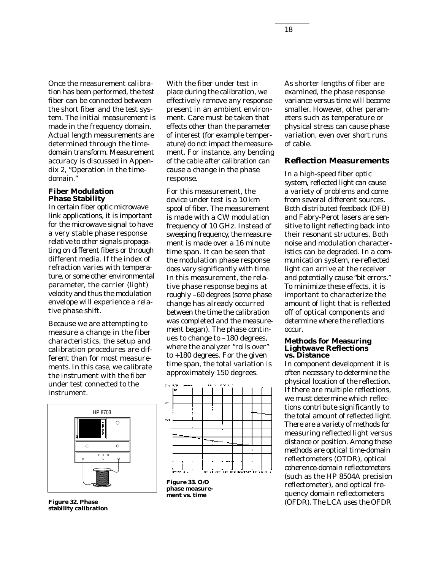Once the measurement calibration has been performed, the test fiber can be connected between the short fiber and the test system. The initial measurement is made in the frequency domain. Actual length measurements are determined through the timedomain transform. Measurement accuracy is discussed in Appendix 2, "Operation in the timedomain."

#### **Fiber Modulation Phase Stability**

In certain fiber optic microwave link applications, it is important for the microwave signal to have a very stable phase response relative to other signals propagating on different fibers or through different media. If the index of refraction varies with temperature, or some other environmental parameter, the carrier (light) velocity and thus the modulation envelope will experience a relative phase shift.

Because we are attempting to measure a change in the fiber characteristics, the setup and calibration procedures are different than for most measurements. In this case, we calibrate the instrument with the fiber under test connected to the instrument.



**Figure 32. Phase stability calibration**

With the fiber under test in place during the calibration, we effectively remove any response present in an ambient environment. Care must be taken that effects other than the parameter of interest (for example temperature) do not impact the measurement. For instance, any bending of the cable after calibration can cause a change in the phase response.

For this measurement, the device under test is a 10 km spool of fiber. The measurement is made with a CW modulation frequency of 10 GHz. Instead of sweeping frequency, the measurement is made over a 16 minute time span. It can be seen that the modulation phase response does vary significantly with time. In this measurement, the relative phase response begins at roughly –60 degrees (some phase change has already occurred between the time the calibration was completed and the measurement began). The phase continues to change to –180 degrees, where the analyzer "rolls over" to +180 degrees. For the given time span, the total variation is approximately 150 degrees.



**phase measurement vs. time**

As shorter lengths of fiber are examined, the phase response variance versus time will become smaller. However, other parameters such as temperature or physical stress can cause phase variation, even over short runs of cable.

#### **Reflection Measurements**

In a high-speed fiber optic system, reflected light can cause a variety of problems and come from several different sources. Both distributed feedback (DFB) and Fabry-Perot lasers are sensitive to light reflecting back into their resonant structures. Both noise and modulation characteristics can be degraded. In a communication system, re-reflected light can arrive at the receiver and potentially cause "bit errors." To minimize these effects, it is important to characterize the amount of light that is reflected off of optical components and determine where the reflections occur.

#### **Methods for Measuring Lightwave Reflections vs. Distance**

In component development it is often necessary to determine the physical location of the reflection. If there are multiple reflections, we must determine which reflections contribute significantly to the total amount of reflected light. There are a variety of methods for measuring reflected light versus distance or position. Among these methods are optical time-domain reflectometers (OTDR), optical coherence-domain reflectometers (such as the HP 8504A precision reflectometer), and optical frequency domain reflectometers (OFDR). The LCA uses the OFDR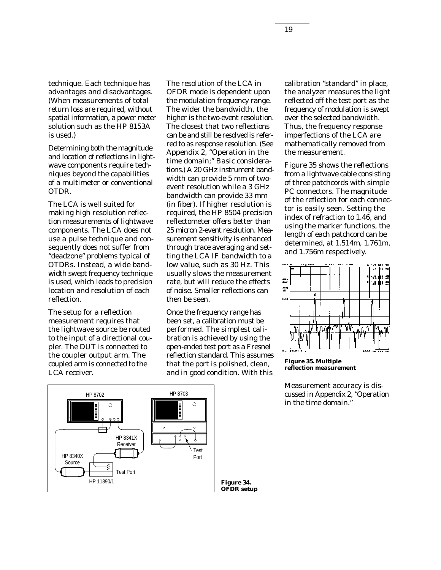technique. Each technique has advantages and disadvantages. (When measurements of total return loss are required, without spatial information, a power meter solution such as the HP 8153A is used.)

Determining both the magnitude and location of reflections in lightwave components require techniques beyond the capabilities of a multimeter or conventional OTDR.

The LCA is well suited for making high resolution reflection measurements of lightwave components. The LCA does not use a pulse technique and consequently does not suffer from "deadzone" problems typical of OTDRs. Instead, a wide bandwidth swept frequency technique is used, which leads to precision location and resolution of each reflection.

The setup for a reflection measurement requires that the lightwave source be routed to the input of a directional coupler. The DUT is connected to the coupler output arm. The coupled arm is connected to the LCA receiver.

The resolution of the LCA in OFDR mode is dependent upon the modulation frequency range. The wider the bandwidth, the higher is the two-event resolution. The closest that two reflections can be and still be resolved is referred to as response resolution. (See Appendix 2, "Operation in the time domain;" *Basic considerations.*) A 20 GHz instrument bandwidth can provide 5 mm of twoevent resolution while a 3 GHz bandwidth can provide 33 mm (in fiber). If higher resolution is required, the HP 8504 precision reflectometer offers better than 25 micron 2-event resolution. Measurement sensitivity is enhanced through trace averaging and setting the LCA IF bandwidth to a low value, such as 30 Hz. This usually slows the measurement rate, but will reduce the effects of noise. Smaller reflections can then be seen.

Once the frequency range has been set, a calibration must be performed. The simplest calibration is achieved by using the open-ended test port as a Fresnel reflection standard. This assumes that the port is polished, clean, and in good condition. With this

calibration "standard" in place, the analyzer measures the light reflected off the test port as the frequency of modulation is swept over the selected bandwidth. Thus, the frequency response imperfections of the LCA are mathematically removed from the measurement.

Figure 35 shows the reflections from a lightwave cable consisting of three patchcords with simple PC connectors. The magnitude of the reflection for each connector is easily seen. Setting the index of refraction to 1.46, and using the marker functions, the length of each patchcord can be determined, at 1.514m, 1.761m, and 1.756m respectively.



**Figure 35. Multiple reflection measurement**

Measurement accuracy is discussed in Appendix 2, "Operation in the time domain."



**OFDR setup**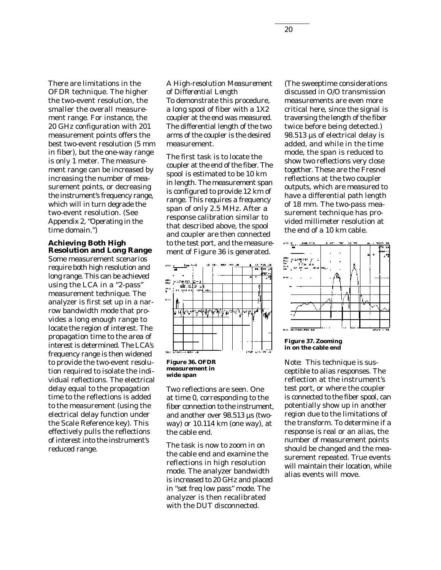There are limitations in the OFDR technique. The higher the two-event resolution, the smaller the overall measurement range. For instance, the 20 GHz configuration with 201 measurement points offers the best two-event resolution (5 mm in fiber), but the one-way range is only 1 meter. The measurement range can be increased by increasing the number of measurement points, or decreasing the instrument's frequency range, which will in turn degrade the two-event resolution. (See Appendix 2, "Operating in the time domain.")

## **Achieving Both High Resolution and Long Range**

Some measurement scenarios require both high resolution and long range. This can be achieved using the LCA in a "2-pass" measurement technique. The analyzer is first set up in a narrow bandwidth mode that provides a long enough range to locate the region of interest. The propagation time to the area of interest is determined. The LCA's frequency range is then widened to provide the two-event resolution required to isolate the individual reflections. The electrical delay equal to the propagation time to the reflections is added to the measurement (using the electrical delay function under the Scale Reference key). This effectively pulls the reflections of interest into the instrument's reduced range.

# *A High-resolution Measurement of Differential Length*

To demonstrate this procedure, a long spool of fiber with a 1X2 coupler at the end was measured. The differential length of the two arms of the coupler is the desired measurement.

The first task is to locate the coupler at the end of the fiber. The spool is estimated to be 10 km in length. The measurement span is configured to provide 12 km of range. This requires a frequency span of only 2.5 MHz. After a response calibration similar to that described above, the spool and coupler are then connected to the test port, and the measurement of Figure 36 is generated.



**Figure 36. OFDR measurement in wide span**

Two reflections are seen. One at time 0, corresponding to the fiber connection to the instrument, and another over 98.513 µs (twoway) or 10.114 km (one way), at the cable end.

The task is now to zoom in on the cable end and examine the reflections in high resolution mode. The analyzer bandwidth is increased to 20 GHz and placed in "set freq low pass" mode. The analyzer is then recalibrated with the DUT disconnected.

(The sweeptime considerations discussed in O/O transmission measurements are even more critical here, since the signal is traversing the length of the fiber twice before being detected.) 98.513 µs of electrical delay is added, and while in the time mode, the span is reduced to show two reflections very close together. These are the Fresnel reflections at the two coupler outputs, which are measured to have a differential path length of 18 mm. The two-pass measurement technique has provided millimeter resolution at the end of a 10 km cable.



#### **Figure 37. Zooming in on the cable end**

*Note:* This technique is susceptible to alias responses. The reflection at the instrument's test port, or where the coupler is connected to the fiber spool, can potentially show up in another region due to the limitations of the transform. To determine if a response is real or an alias, the number of measurement points should be changed and the measurement repeated. True events will maintain their location, while alias events will move.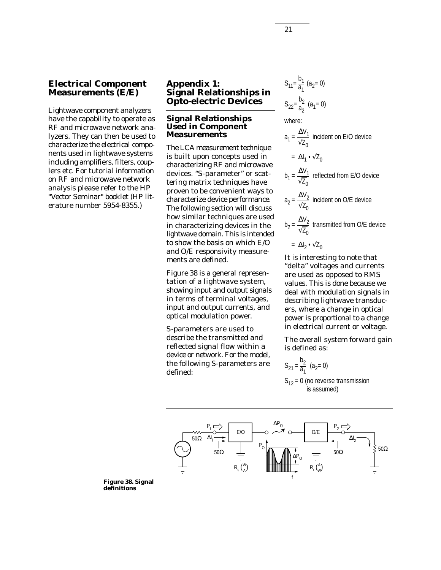# **Electrical Component Measurements (E/E)**

Lightwave component analyzers have the capability to operate as RF and microwave network analyzers. They can then be used to characterize the electrical components used in lightwave systems including amplifiers, filters, couplers etc. For tutorial information on RF and microwave network analysis please refer to the HP "Vector Seminar" booklet (HP literature number 5954-8355.)

# **Appendix 1: Signal Relationships in Opto-electric Devices**

#### **Signal Relationships Used in Component Measurements**

The LCA measurement technique is built upon concepts used in characterizing RF and microwave devices. "S-parameter" or scattering matrix techniques have proven to be convenient ways to characterize device performance. The following section will discuss how similar techniques are used in characterizing devices in the lightwave domain. This is intended to show the basis on which E/O and O/E responsivity measurements are defined.

Figure 38 is a general representation of a lightwave system, showing input and output signals in terms of terminal voltages, input and output currents, and optical modulation power.

S-parameters are used to describe the transmitted and reflected signal flow within a device or network. For the model, the following S-parameters are defined:

$$
S_{11} = \frac{b_1}{a_1} (a_2 = 0)
$$
  

$$
S_{22} = \frac{b_2}{a_2} (a_1 = 0)
$$

where:

$$
a_1 = \frac{\Delta V_1}{\sqrt{Z_0}}
$$
 incident on E/O device  
=  $\Delta I_1 \cdot \sqrt{Z_0}$   

$$
b_1 = \frac{\Delta V_1}{\sqrt{Z_0}}
$$
 reflected from E/O device  

$$
a_2 = \frac{\Delta V_2}{\sqrt{Z_0}}
$$
 incident on O/E device  

$$
b_2 = \frac{\Delta V_2}{\sqrt{Z_0}}
$$
 transmitted from O/E device  
=  $\Delta I_2 \cdot \sqrt{Z_0}$ 

It is interesting to note that "delta" voltages and currents are used as opposed to RMS values. This is done because we deal with modulation signals in describing lightwave transducers, where a change in optical power is proportional to a change in electrical current or voltage.

The overall system forward gain is defined as:

$$
S_{21} = \frac{b_2}{a_1} \ (a_2 = 0)
$$

 $S_{12} = 0$  (no reverse transmission is assumed)



**Figure 38. Signal definitions**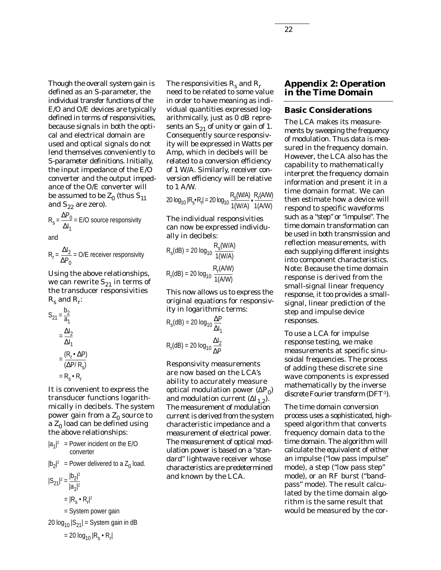Though the overall system gain is defined as an S-parameter, the individual transfer functions of the E/O and O/E devices are typically defined in terms of responsivities, because signals in both the optical and electrical domain are used and optical signals do not lend themselves conveniently to S-parameter definitions. Initially, the input impedance of the E/O converter and the output impedance of the O/E converter will be assumed to be  $Z_0$  (thus  $S_{11}$ and  $S_{22}$  are zero).

$$
R_s = \frac{\Delta P_0}{\Delta I_1} = E/O
$$
 source responsibility

and

$$
R_r = \frac{\Delta l_2}{\Delta P_0} = O/E
$$
 receiver responsibility

Using the above relationships, we can rewrite  $S_{21}$  in terms of the transducer responsivities  $R_s$  and  $R_r$ :

$$
S_{21} = \frac{b_2}{a_1}
$$
  
= 
$$
\frac{\Delta I_2}{\Delta I_1}
$$
  
= 
$$
\frac{(R_r \cdot \Delta P)}{(\Delta P/R_s)}
$$
  
= 
$$
R_s \cdot R_r
$$

It is convenient to express the transducer functions logarithmically in decibels. The system power gain from a  $Z_0$  source to a  $Z_0$  load can be defined using the above relationships:

$$
|a_1|^2
$$
 = Power incident on the E/O  
converter  

$$
|b_2|^2
$$
 = Power delivered to a Z<sub>0</sub> load.  

$$
|S_{21}|^2 = \frac{|b_2|^2}{|a_1|^2}
$$

$$
= |R_s \cdot R_r|^2
$$

$$
= System power gain
$$
20 log<sub>10</sub> |S<sub>21</sub>| = System gain in dB

= 20 log<sub>10</sub>  $|R_{\mathrm{s}} \bullet R_{\mathrm{r}}|$ 

The responsivities  $R_s$  and  $R_r$ need to be related to some value in order to have meaning as individual quantities expressed logarithmically, just as 0 dB represents an  $S_{21}$  of unity or gain of 1. Consequently source responsivity will be expressed in Watts per Amp, which in decibels will be related to a conversion efficiency of 1 W/A. Similarly, receiver conversion efficiency will be relative to 1 A/W.

20  $log_{10}$   $|R_s \cdot R_r| = 20$   $log_{10} \frac{R_s(W/A)}{4(0)(0)} \cdot \frac{R_r(A/W)}{4(0,0)(0)}$ 1(W/A) 1(A/W)

The individual responsivities can now be expressed individually in decibels:

$$
R_s(dB) = 20 \log_{10} \frac{R_s(W/A)}{1(W/A)}
$$

$$
R_r(dB) = 20 \log_{10} \frac{R_r(A/W)}{1(A/W)}
$$

This now allows us to express the original equations for responsivity in logarithmic terms:

$$
R_s(dB) = 20 \log_{10} \frac{\Delta P}{\Delta I_1}
$$

$$
R_r(dB) = 20 \log_{10} \frac{\Delta I_2}{\Delta P}
$$

Responsivity measurements are now based on the LCA's ability to accurately measure optical modulation power  $(\Delta P_0)$ and modulation current  $(\Delta I_{1,2}).$ The measurement of modulation current is derived from the system characteristic impedance and a measurement of electrical power. The measurement of optical modulation power is based on a "standard" lightwave receiver whose characteristics are predetermined and known by the LCA.

## **Appendix 2: Operation in the Time Domain**

#### **Basic Considerations**

The LCA makes its measurements by sweeping the frequency of modulation. Thus data is measured in the frequency domain. However, the LCA also has the capability to mathematically interpret the frequency domain information and present it in a time domain format. We can then estimate how a device will respond to specific waveforms such as a "step" or "impulse". The time domain transformation can be used in both transmission and reflection measurements, with each supplying different insights into component characteristics. Note: Because the time domain response is derived from the small-signal linear frequency response, it too provides a smallsignal, linear prediction of the step and impulse device responses.

To use a LCA for impulse response testing, we make measurements at specific sinusoidal frequencies. The process of adding these discrete sine wave components is expressed mathematically by the inverse discrete Fourier transform (DFT-1).

The time domain conversion process uses a sophisticated, highspeed algorithm that converts frequency domain data to the time domain. The algorithm will calculate the equivalent of either an impulse ("low pass impulse" mode), a step ("low pass step" mode), or an RF burst ("bandpass" mode). The result calculated by the time domain algorithm is the same result that would be measured by the cor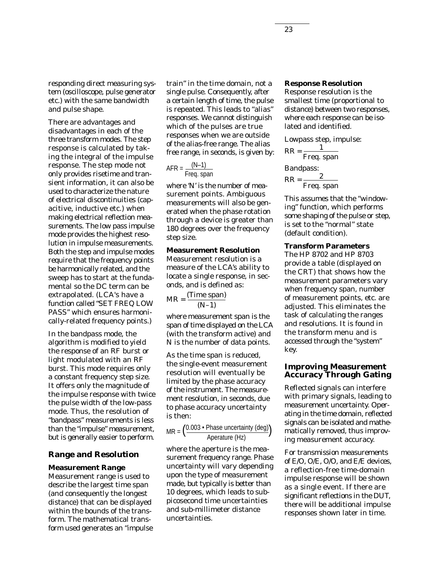responding direct measuring system (oscilloscope, pulse generator etc.) with the same bandwidth and pulse shape.

There are advantages and disadvantages in each of the three transform modes. The step response is calculated by taking the integral of the impulse response. The step mode not only provides risetime and transient information, it can also be used to characterize the nature of electrical discontinuities (capacitive, inductive etc.) when making electrical reflection measurements. The low pass impulse mode provides the highest resolution in impulse measurements. Both the step and impulse modes require that the frequency points be harmonically related, and the sweep has to start at the fundamental so the DC term can be extrapolated. (LCA's have a function called "SET FREQ LOW PASS" which ensures harmonically-related frequency points.)

In the bandpass mode, the algorithm is modified to yield the response of an RF burst or light modulated with an RF burst. This mode requires only a constant frequency step size. It offers only the magnitude of the impulse response with twice the pulse width of the low-pass mode. Thus, the resolution of "bandpass" measurements is less than the "impulse" measurement, but is generally easier to perform.

#### **Range and Resolution**

#### **Measurement Range**

Measurement range is used to describe the largest time span (and consequently the longest distance) that can be displayed within the bounds of the transform. The mathematical transform used generates an "impulse train" in the time domain, not a single pulse. Consequently, after a certain length of time, the pulse is repeated. This leads to "alias" responses. We cannot distinguish which of the pulses are true responses when we are outside of the alias-free range. The alias free range, in seconds, is given by:

$$
AFR = \frac{(N-1)}{Freq. span}
$$

where 'N' is the number of measurement points. Ambiguous measurements will also be generated when the phase rotation through a device is greater than 180 degrees over the frequency step size.

## **Measurement Resolution**

Measurement resolution is a measure of the LCA's ability to locate a single response, in seconds, and is defined as:

$$
MR = \frac{(Time span)}{(N-1)}
$$

where measurement span is the span of time displayed on the LCA (with the transform active) and N is the number of data points.

As the time span is reduced, the single-event measurement resolution will eventually be limited by the phase accuracy of the instrument. The measurement resolution, in seconds, due to phase accuracy uncertainty is then:

MR = 
$$
\left(\frac{0.003 \cdot \text{Phase uncertainty (deg)}}{\text{Aperature (Hz)}}\right)
$$

where the aperture is the measurement frequency range. Phase uncertainty will vary depending upon the type of measurement made, but typically is better than 10 degrees, which leads to subpicosecond time uncertainties and sub-millimeter distance uncertainties.

#### **Response Resolution**

Response resolution is the smallest time (proportional to distance) between two responses, where each response can be isolated and identified.

Lowpass step, impulse:  
\n
$$
RR = \frac{1}{Freq \cdot span}
$$
\nBandpass:  
\n
$$
RR = \frac{2}{Freq \cdot span}
$$

This assumes that the "windowing" function, which performs some shaping of the pulse or step, is set to the "normal" state (default condition).

#### **Transform Parameters**

The HP 8702 and HP 8703 provide a table (displayed on the CRT) that shows how the measurement parameters vary when frequency span, number of measurement points, etc. are adjusted. This eliminates the task of calculating the ranges and resolutions. It is found in the transform menu and is accessed through the "system" key.

### **Improving Measurement Accuracy Through Gating**

Reflected signals can interfere with primary signals, leading to measurement uncertainty. Operating in the time domain, reflected signals can be isolated and mathematically removed, thus improving measurement accuracy.

For transmission measurements of E/O, O/E, O/O, and E/E devices, a reflection-free time-domain impulse response will be shown as a single event. If there are significant reflections in the DUT, there will be additional impulse responses shown later in time.